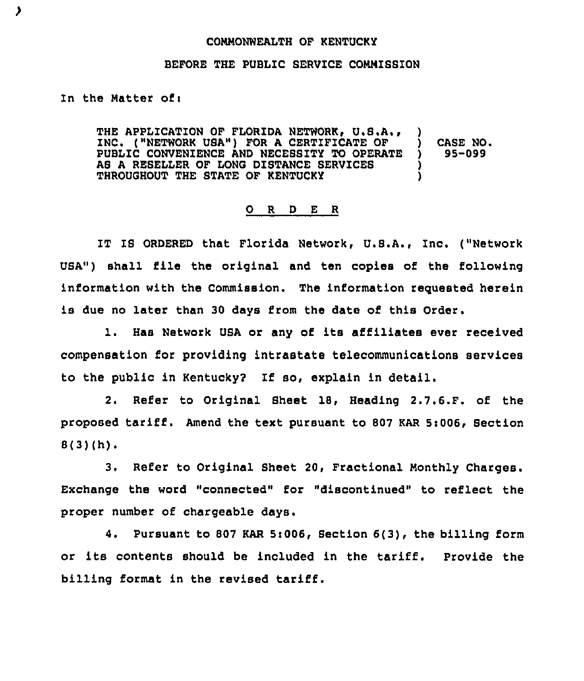## CONNONWEALTH OF KENTUCKY

## BEFORE THE PUBLIC SERVICE COMMISSION

## In the Matter of:

THE APPLICATION OF FLORIDA NETWORK, U.S.A., INC. ("NETWORK UBA") FOR <sup>A</sup> CERTIFICATE OF ) CASE NO. PUBLIC CONVENIENCE AND NECESSITY TO OPERATE )<br>AS A RESELLER OF LONG DISTANCE SERVICES AS <sup>A</sup> RESELLER OF LONG DISTANCE SERVICES ) THROUGHOUT THE BTATE OF KENTUCKY )

## 0 <sup>R</sup> <sup>D</sup> E <sup>R</sup>

IT IS ORDERED that Florida Network, U.S.A., Inc. ("Network USA") shall file the original and ten copies of the following information with the Commission. The information requested herein is due no later than 30 days from the date of this Order.

1. Has Network USA or any of its affiliates ever received compensation for providing intrastate telecommunications services to the public in Kentucky? If so, explain in detail.

2. Refer to Original Bheet l8, Heading 2.7.6.F. of the proposed tariff. Amend the text pursuant to 807 KAR 5:006, Section  $8(3)(h)$ .

3. Refer to Original Sheet 20, Fractional Nonthly Charges. Exchange the word "connected" for "discontinued" to reflect the proper number of chargeable days.

4. Pursuant to 807 KAR 5:006, Section 6(3), the billing form or its contents should be included in the tariff. Provide the billing format in the revised tariff.

,